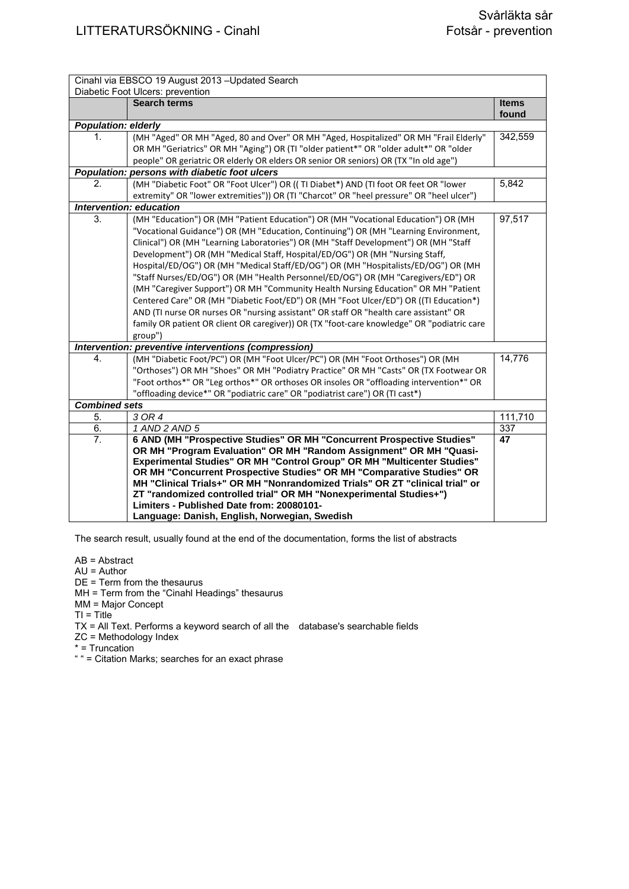| Cinahl via EBSCO 19 August 2013 - Updated Search     |                                                                                                                                                    |              |  |
|------------------------------------------------------|----------------------------------------------------------------------------------------------------------------------------------------------------|--------------|--|
| Diabetic Foot Ulcers: prevention                     |                                                                                                                                                    |              |  |
|                                                      | <b>Search terms</b>                                                                                                                                | <b>Items</b> |  |
|                                                      |                                                                                                                                                    | found        |  |
| <b>Population: elderly</b><br>1.                     | (MH "Aged" OR MH "Aged, 80 and Over" OR MH "Aged, Hospitalized" OR MH "Frail Elderly"                                                              | 342,559      |  |
|                                                      | OR MH "Geriatrics" OR MH "Aging") OR (TI "older patient*" OR "older adult*" OR "older                                                              |              |  |
|                                                      | people" OR geriatric OR elderly OR elders OR senior OR seniors) OR (TX "In old age")                                                               |              |  |
|                                                      | Population: persons with diabetic foot ulcers                                                                                                      |              |  |
| 2.                                                   | (MH "Diabetic Foot" OR "Foot Ulcer") OR ((TI Diabet*) AND (TI foot OR feet OR "lower                                                               | 5,842        |  |
|                                                      | extremity" OR "lower extremities")) OR (TI "Charcot" OR "heel pressure" OR "heel ulcer")                                                           |              |  |
|                                                      | Intervention: education                                                                                                                            |              |  |
| 3.                                                   | (MH "Education") OR (MH "Patient Education") OR (MH "Vocational Education") OR (MH                                                                 | 97,517       |  |
|                                                      | "Vocational Guidance") OR (MH "Education, Continuing") OR (MH "Learning Environment,                                                               |              |  |
|                                                      | Clinical") OR (MH "Learning Laboratories") OR (MH "Staff Development") OR (MH "Staff                                                               |              |  |
|                                                      | Development") OR (MH "Medical Staff, Hospital/ED/OG") OR (MH "Nursing Staff,                                                                       |              |  |
|                                                      | Hospital/ED/OG") OR (MH "Medical Staff/ED/OG") OR (MH "Hospitalists/ED/OG") OR (MH                                                                 |              |  |
|                                                      | "Staff Nurses/ED/OG") OR (MH "Health Personnel/ED/OG") OR (MH "Caregivers/ED") OR                                                                  |              |  |
|                                                      | (MH "Caregiver Support") OR MH "Community Health Nursing Education" OR MH "Patient                                                                 |              |  |
|                                                      | Centered Care" OR (MH "Diabetic Foot/ED") OR (MH "Foot Ulcer/ED") OR ((TI Education*)                                                              |              |  |
|                                                      | AND (TI nurse OR nurses OR "nursing assistant" OR staff OR "health care assistant" OR                                                              |              |  |
|                                                      | family OR patient OR client OR caregiver)) OR (TX "foot-care knowledge" OR "podiatric care                                                         |              |  |
|                                                      | group")                                                                                                                                            |              |  |
| Intervention: preventive interventions (compression) |                                                                                                                                                    |              |  |
| 4.                                                   | (MH "Diabetic Foot/PC") OR (MH "Foot Ulcer/PC") OR (MH "Foot Orthoses") OR (MH                                                                     | 14,776       |  |
|                                                      | "Orthoses") OR MH "Shoes" OR MH "Podiatry Practice" OR MH "Casts" OR (TX Footwear OR                                                               |              |  |
|                                                      | "Foot orthos*" OR "Leg orthos*" OR orthoses OR insoles OR "offloading intervention*" OR                                                            |              |  |
|                                                      | "offloading device*" OR "podiatric care" OR "podiatrist care") OR (TI cast*)                                                                       |              |  |
| <b>Combined sets</b>                                 |                                                                                                                                                    |              |  |
| 5.                                                   | $\overline{3 \text{ OR } 4}$                                                                                                                       | 111,710      |  |
| 6.                                                   | 1 AND 2 AND 5                                                                                                                                      | 337          |  |
| 7.                                                   | 6 AND (MH "Prospective Studies" OR MH "Concurrent Prospective Studies"                                                                             | 47           |  |
|                                                      | OR MH "Program Evaluation" OR MH "Random Assignment" OR MH "Quasi-                                                                                 |              |  |
|                                                      | Experimental Studies" OR MH "Control Group" OR MH "Multicenter Studies"                                                                            |              |  |
|                                                      | OR MH "Concurrent Prospective Studies" OR MH "Comparative Studies" OR                                                                              |              |  |
|                                                      | MH "Clinical Trials+" OR MH "Nonrandomized Trials" OR ZT "clinical trial" or<br>ZT "randomized controlled trial" OR MH "Nonexperimental Studies+") |              |  |
|                                                      | Limiters - Published Date from: 20080101-                                                                                                          |              |  |
|                                                      | Language: Danish, English, Norwegian, Swedish                                                                                                      |              |  |
|                                                      |                                                                                                                                                    |              |  |

The search result, usually found at the end of the documentation, forms the list of abstracts

AB = Abstract

AU = Author

DE = Term from the thesaurus

MH = Term from the "Cinahl Headings" thesaurus

MM = Major Concept

 $TI = Title$ 

TX = All Text. Performs a keyword search of all the database's searchable fields

ZC = Methodology Index

\* = Truncation

" " = Citation Marks; searches for an exact phrase